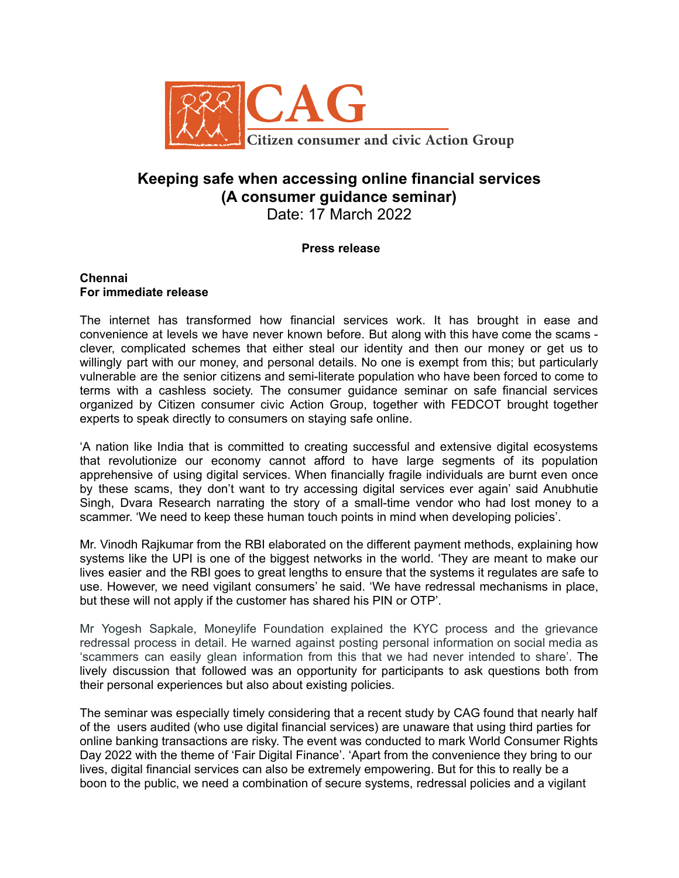

# **Keeping safe when accessing online financial services (A consumer guidance seminar)** Date: 17 March 2022

# **Press release**

#### **Chennai For immediate release**

The internet has transformed how financial services work. It has brought in ease and convenience at levels we have never known before. But along with this have come the scams clever, complicated schemes that either steal our identity and then our money or get us to willingly part with our money, and personal details. No one is exempt from this; but particularly vulnerable are the senior citizens and semi-literate population who have been forced to come to terms with a cashless society. The consumer guidance seminar on safe financial services organized by Citizen consumer civic Action Group, together with FEDCOT brought together experts to speak directly to consumers on staying safe online.

'A nation like India that is committed to creating successful and extensive digital ecosystems that revolutionize our economy cannot afford to have large segments of its population apprehensive of using digital services. When financially fragile individuals are burnt even once by these scams, they don't want to try accessing digital services ever again' said Anubhutie Singh, Dvara Research narrating the story of a small-time vendor who had lost money to a scammer. 'We need to keep these human touch points in mind when developing policies'.

Mr. Vinodh Rajkumar from the RBI elaborated on the different payment methods, explaining how systems like the UPI is one of the biggest networks in the world. 'They are meant to make our lives easier and the RBI goes to great lengths to ensure that the systems it regulates are safe to use. However, we need vigilant consumers' he said. 'We have redressal mechanisms in place, but these will not apply if the customer has shared his PIN or OTP'.

Mr Yogesh Sapkale, Moneylife Foundation explained the KYC process and the grievance redressal process in detail. He warned against posting personal information on social media as 'scammers can easily glean information from this that we had never intended to share'. The lively discussion that followed was an opportunity for participants to ask questions both from their personal experiences but also about existing policies.

The seminar was especially timely considering that a recent study by CAG found that nearly half of the users audited (who use digital financial services) are unaware that using third parties for online banking transactions are risky. The event was conducted to mark World Consumer Rights Day 2022 with the theme of 'Fair Digital Finance'. 'Apart from the convenience they bring to our lives, digital financial services can also be extremely empowering. But for this to really be a boon to the public, we need a combination of secure systems, redressal policies and a vigilant